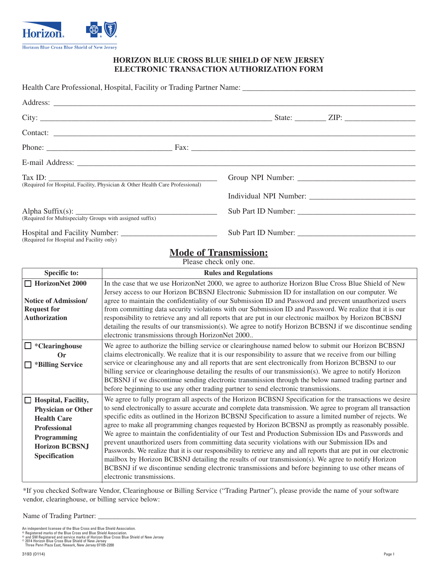

## **HORIZON BLUE CROSS BLUE SHIELD OF NEW JERSEY ELECTRONIC TRANSACTION AUTHORIZATION FORM**

| (Required for Hospital, Facility, Physician & Other Health Care Professional) | Group NPI Number: |
|-------------------------------------------------------------------------------|-------------------|
|                                                                               |                   |
| (Required for Multispecialty Groups with assigned suffix)                     |                   |
|                                                                               |                   |

(Required for Hospital and Facility only)

## **Mode of Transmission:**

Please check only one.

| <b>Specific to:</b>         | <b>Rules and Regulations</b>                                                                                       |
|-----------------------------|--------------------------------------------------------------------------------------------------------------------|
| HorizonNet 2000             | In the case that we use HorizonNet 2000, we agree to authorize Horizon Blue Cross Blue Shield of New               |
|                             | Jersey access to our Horizon BCBSNJ Electronic Submission ID for installation on our computer. We                  |
| <b>Notice of Admission/</b> | agree to maintain the confidentiality of our Submission ID and Password and prevent unauthorized users             |
| <b>Request for</b>          | from committing data security violations with our Submission ID and Password. We realize that it is our            |
| Authorization               | responsibility to retrieve any and all reports that are put in our electronic mailbox by Horizon BCBSNJ            |
|                             | detailing the results of our transmission(s). We agree to notify Horizon BCBSNJ if we discontinue sending          |
|                             | electronic transmissions through HorizonNet 2000                                                                   |
| $\Box$ *Clearinghouse       | We agree to authorize the billing service or clearinghouse named below to submit our Horizon BCBSNJ                |
| $\alpha$                    | claims electronically. We realize that it is our responsibility to assure that we receive from our billing         |
| *Billing Service<br>$\Box$  | service or clearinghouse any and all reports that are sent electronically from Horizon BCBSNJ to our               |
|                             | billing service or clearinghouse detailing the results of our transmission(s). We agree to notify Horizon          |
|                             | BCBSNJ if we discontinue sending electronic transmission through the below named trading partner and               |
|                             | before beginning to use any other trading partner to send electronic transmissions.                                |
| $\Box$ Hospital, Facility,  | We agree to fully program all aspects of the Horizon BCBSNJ Specification for the transactions we desire           |
| Physician or Other          | to send electronically to assure accurate and complete data transmission. We agree to program all transaction      |
| <b>Health Care</b>          | specific edits as outlined in the Horizon BCBSNJ Specification to assure a limited number of rejects. We           |
| <b>Professional</b>         | agree to make all programming changes requested by Horizon BCBSNJ as promptly as reasonably possible.              |
| Programming                 | We agree to maintain the confidentiality of our Test and Production Submission IDs and Passwords and               |
| <b>Horizon BCBSNJ</b>       | prevent unauthorized users from committing data security violations with our Submission IDs and                    |
| Specification               | Passwords. We realize that it is our responsibility to retrieve any and all reports that are put in our electronic |
|                             | mailbox by Horizon BCBSNJ detailing the results of our transmission(s). We agree to notify Horizon                 |
|                             | BCBSNJ if we discontinue sending electronic transmissions and before beginning to use other means of               |
|                             | electronic transmissions.                                                                                          |

\*If you checked Software Vendor, Clearinghouse or Billing Service ("Trading Partner"), please provide the name of your software vendor, clearinghouse, or billing service below:

## Name of Trading Partner: \_

An independent licensee of the Blue Cross and Blue Shield Association.<br>® Registered marks of the Blue Cross and Blue Shield Association.<br>® and SM Registered and service marks of Horizon Blue Cross Blue Shield of New Jersey